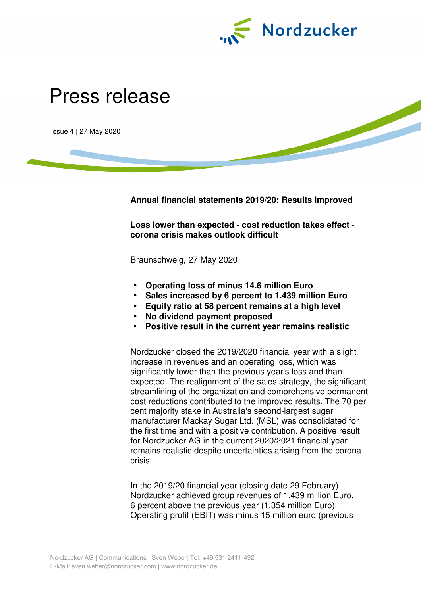

## Press release

Issue 4 | 27 May 2020

**Annual financial statements 2019/20: Results improved** 

**Loss lower than expected - cost reduction takes effect corona crisis makes outlook difficult** 

Braunschweig, 27 May 2020

- **Operating loss of minus 14.6 million Euro**
- **Sales increased by 6 percent to 1.439 million Euro**
- **Equity ratio at 58 percent remains at a high level**
- **No dividend payment proposed**
- **Positive result in the current year remains realistic**

Nordzucker closed the 2019/2020 financial year with a slight increase in revenues and an operating loss, which was significantly lower than the previous year's loss and than expected. The realignment of the sales strategy, the significant streamlining of the organization and comprehensive permanent cost reductions contributed to the improved results. The 70 per cent majority stake in Australia's second-largest sugar manufacturer Mackay Sugar Ltd. (MSL) was consolidated for the first time and with a positive contribution. A positive result for Nordzucker AG in the current 2020/2021 financial year remains realistic despite uncertainties arising from the corona crisis.

In the 2019/20 financial year (closing date 29 February) Nordzucker achieved group revenues of 1.439 million Euro, 6 percent above the previous year (1.354 million Euro). Operating profit (EBIT) was minus 15 million euro (previous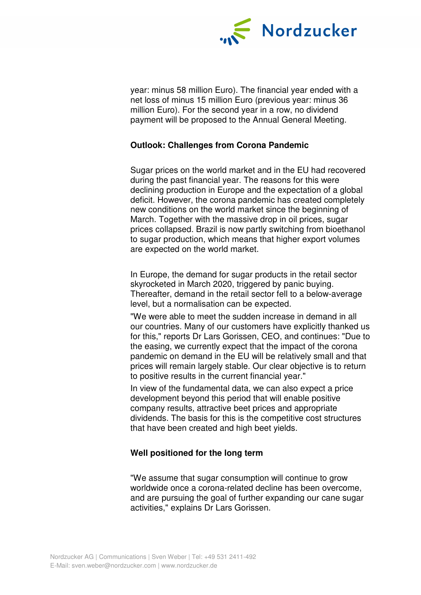

year: minus 58 million Euro). The financial year ended with a net loss of minus 15 million Euro (previous year: minus 36 million Euro). For the second year in a row, no dividend payment will be proposed to the Annual General Meeting.

## **Outlook: Challenges from Corona Pandemic**

Sugar prices on the world market and in the EU had recovered during the past financial year. The reasons for this were declining production in Europe and the expectation of a global deficit. However, the corona pandemic has created completely new conditions on the world market since the beginning of March. Together with the massive drop in oil prices, sugar prices collapsed. Brazil is now partly switching from bioethanol to sugar production, which means that higher export volumes are expected on the world market.

In Europe, the demand for sugar products in the retail sector skyrocketed in March 2020, triggered by panic buying. Thereafter, demand in the retail sector fell to a below-average level, but a normalisation can be expected.

"We were able to meet the sudden increase in demand in all our countries. Many of our customers have explicitly thanked us for this," reports Dr Lars Gorissen, CEO, and continues: "Due to the easing, we currently expect that the impact of the corona pandemic on demand in the EU will be relatively small and that prices will remain largely stable. Our clear objective is to return to positive results in the current financial year."

In view of the fundamental data, we can also expect a price development beyond this period that will enable positive company results, attractive beet prices and appropriate dividends. The basis for this is the competitive cost structures that have been created and high beet yields.

## **Well positioned for the long term**

"We assume that sugar consumption will continue to grow worldwide once a corona-related decline has been overcome, and are pursuing the goal of further expanding our cane sugar activities," explains Dr Lars Gorissen.